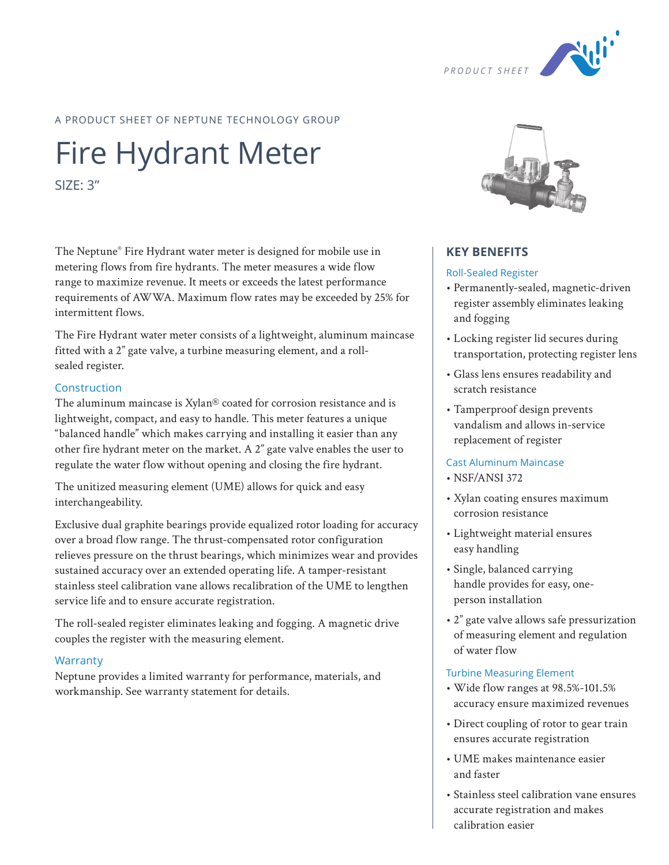

# A PRODUCT SHEET OF NEPTUNE TECHNOLOGY GROUP

# Fire Hydrant Meter

SIZE: 3"

The Neptune® Fire Hydrant water meter is designed for mobile use in metering flows from fire hydrants. The meter measures a wide flow range to maximize revenue. It meets or exceeds the latest performance requirements of AWWA. Maximum flow rates may be exceeded by 25% for intermittent flows.

The Fire Hydrant water meter consists of a lightweight, aluminum maincase fitted with a 2" gate valve, a turbine measuring element, and a rollsealed register.

## Construction

The aluminum maincase is Xylan® coated for corrosion resistance and is lightweight, compact, and easy to handle. This meter features a unique "balanced handle" which makes carrying and installing it easier than any other fire hydrant meter on the market. A 2" gate valve enables the user to regulate the water flow without opening and closing the fire hydrant.

The unitized measuring element (UME) allows for quick and easy interchangeability.

Exclusive dual graphite bearings provide equalized rotor loading for accuracy over a broad flow range. The thrust-compensated rotor configuration relieves pressure on the thrust bearings, which minimizes wear and provides sustained accuracy over an extended operating life. A tamper-resistant stainless steel calibration vane allows recalibration of the UME to lengthen service life and to ensure accurate registration.

The roll-sealed register eliminates leaking and fogging. A magnetic drive couples the register with the measuring element.

## **Warranty**

Neptune provides a limited warranty for performance, materials, and workmanship. See warranty statement for details.



# **KEY BENEFITS**

#### Roll-Sealed Register

- Permanently-sealed, magnetic-driven register assembly eliminates leaking and fogging
- Locking register lid secures during transportation, protecting register lens
- Glass lens ensures readability and scratch resistance
- Tamperproof design prevents vandalism and allows in-service replacement of register

## Cast Aluminum Maincase

- NSF/ANSI 372
- Xylan coating ensures maximum corrosion resistance
- Lightweight material ensures easy handling
- Single, balanced carrying handle provides for easy, oneperson installation
- 2" gate valve allows safe pressurization of measuring element and regulation of water flow

#### Turbine Measuring Element

- Wide flow ranges at 98.5%-101.5% accuracy ensure maximized revenues
- Direct coupling of rotor to gear train ensures accurate registration
- UME makes maintenance easier and faster
- Stainless steel calibration vane ensures accurate registration and makes calibration easier